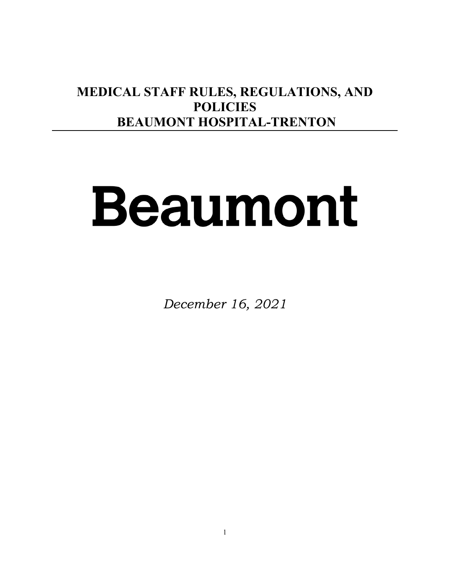# **MEDICAL STAFF RULES, REGULATIONS, AND POLICIES BEAUMONT HOSPITAL-TRENTON**

# Beaumont

*December 16, 2021*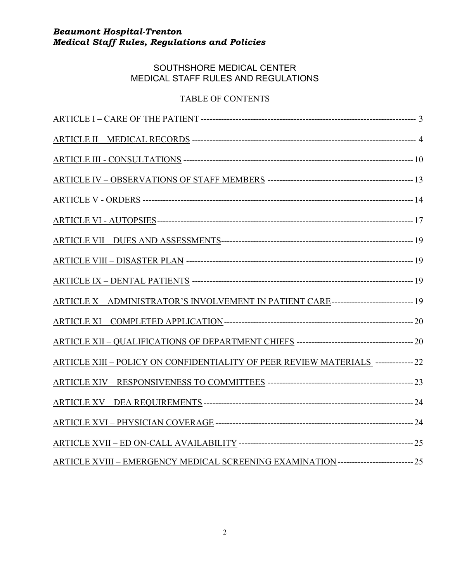# SOUTHSHORE MEDICAL CENTER MEDICAL STAFF RULES AND REGULATIONS

# TABLE OF CONTENTS

| ARTICLE X - ADMINISTRATOR'S INVOLVEMENT IN PATIENT CARE--------------------------- 19 |  |
|---------------------------------------------------------------------------------------|--|
|                                                                                       |  |
|                                                                                       |  |
| ARTICLE XIII - POLICY ON CONFIDENTIALITY OF PEER REVIEW MATERIALS ------------- 22    |  |
|                                                                                       |  |
|                                                                                       |  |
|                                                                                       |  |
|                                                                                       |  |
| ARTICLE XVIII - EMERGENCY MEDICAL SCREENING EXAMINATION------------------------- 25   |  |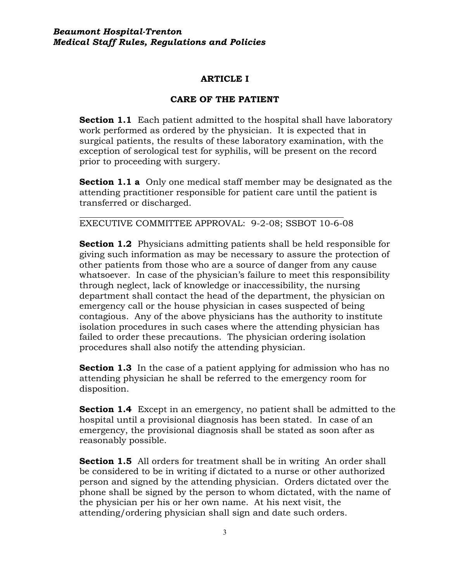# **ARTICLE I**

# **CARE OF THE PATIENT**

**Section 1.1** Each patient admitted to the hospital shall have laboratory work performed as ordered by the physician. It is expected that in surgical patients, the results of these laboratory examination, with the exception of serological test for syphilis, will be present on the record prior to proceeding with surgery.

**Section 1.1 a** Only one medical staff member may be designated as the attending practitioner responsible for patient care until the patient is transferred or discharged.

EXECUTIVE COMMITTEE APPROVAL: 9-2-08; SSBOT 10-6-08

**Section 1.2** Physicians admitting patients shall be held responsible for giving such information as may be necessary to assure the protection of other patients from those who are a source of danger from any cause whatsoever. In case of the physician's failure to meet this responsibility through neglect, lack of knowledge or inaccessibility, the nursing department shall contact the head of the department, the physician on emergency call or the house physician in cases suspected of being contagious. Any of the above physicians has the authority to institute isolation procedures in such cases where the attending physician has failed to order these precautions. The physician ordering isolation procedures shall also notify the attending physician.

**Section 1.3** In the case of a patient applying for admission who has no attending physician he shall be referred to the emergency room for disposition.

**Section 1.4** Except in an emergency, no patient shall be admitted to the hospital until a provisional diagnosis has been stated. In case of an emergency, the provisional diagnosis shall be stated as soon after as reasonably possible.

**Section 1.5** All orders for treatment shall be in writing An order shall be considered to be in writing if dictated to a nurse or other authorized person and signed by the attending physician. Orders dictated over the phone shall be signed by the person to whom dictated, with the name of the physician per his or her own name. At his next visit, the attending/ordering physician shall sign and date such orders.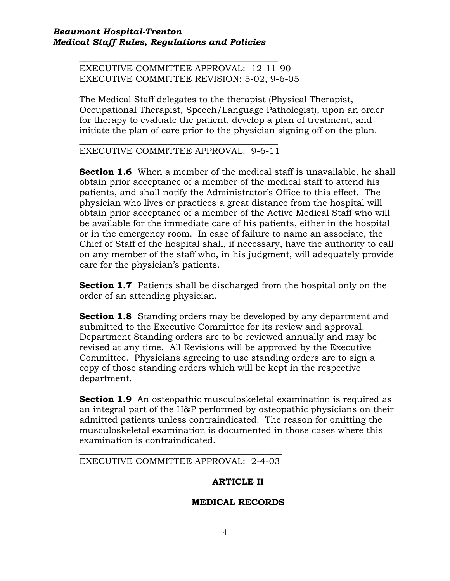*\_\_\_\_\_\_\_\_\_\_\_\_\_\_\_\_\_\_\_\_\_\_\_\_\_\_\_\_\_\_\_\_\_\_\_\_\_\_\_\_\_\_\_\_\_* EXECUTIVE COMMITTEE APPROVAL: 12-11-90 EXECUTIVE COMMITTEE REVISION: 5-02, 9-6-05

The Medical Staff delegates to the therapist (Physical Therapist, Occupational Therapist, Speech/Language Pathologist), upon an order for therapy to evaluate the patient, develop a plan of treatment, and initiate the plan of care prior to the physician signing off on the plan.

*\_\_\_\_\_\_\_\_\_\_\_\_\_\_\_\_\_\_\_\_\_\_\_\_\_\_\_\_\_\_\_\_\_\_\_\_\_\_\_\_\_\_\_\_\_* EXECUTIVE COMMITTEE APPROVAL: 9-6-11

**Section 1.6** When a member of the medical staff is unavailable, he shall obtain prior acceptance of a member of the medical staff to attend his patients, and shall notify the Administrator's Office to this effect. The physician who lives or practices a great distance from the hospital will obtain prior acceptance of a member of the Active Medical Staff who will be available for the immediate care of his patients, either in the hospital or in the emergency room. In case of failure to name an associate, the Chief of Staff of the hospital shall, if necessary, have the authority to call on any member of the staff who, in his judgment, will adequately provide care for the physician's patients.

**Section 1.7** Patients shall be discharged from the hospital only on the order of an attending physician.

**Section 1.8** Standing orders may be developed by any department and submitted to the Executive Committee for its review and approval. Department Standing orders are to be reviewed annually and may be revised at any time. All Revisions will be approved by the Executive Committee. Physicians agreeing to use standing orders are to sign a copy of those standing orders which will be kept in the respective department.

**Section 1.9** An osteopathic musculoskeletal examination is required as an integral part of the H&P performed by osteopathic physicians on their admitted patients unless contraindicated. The reason for omitting the musculoskeletal examination is documented in those cases where this examination is contraindicated.

*\_\_\_\_\_\_\_\_\_\_\_\_\_\_\_\_\_\_\_\_\_\_\_\_\_\_\_\_\_\_\_\_\_\_\_\_\_\_\_\_\_\_\_\_\_\_* EXECUTIVE COMMITTEE APPROVAL: 2-4-03

# **ARTICLE II**

# **MEDICAL RECORDS**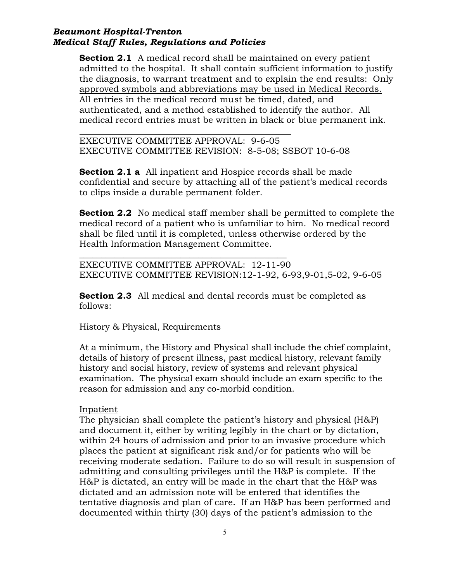**Section 2.1** A medical record shall be maintained on every patient admitted to the hospital. It shall contain sufficient information to justify the diagnosis, to warrant treatment and to explain the end results: Only approved symbols and abbreviations may be used in Medical Records. All entries in the medical record must be timed, dated, and authenticated, and a method established to identify the author. All medical record entries must be written in black or blue permanent ink.

EXECUTIVE COMMITTEE APPROVAL: 9-6-05 EXECUTIVE COMMITTEE REVISION: 8-5-08; SSBOT 10-6-08

**Section 2.1 a** All inpatient and Hospice records shall be made confidential and secure by attaching all of the patient's medical records to clips inside a durable permanent folder.

**Section 2.2** No medical staff member shall be permitted to complete the medical record of a patient who is unfamiliar to him. No medical record shall be filed until it is completed, unless otherwise ordered by the Health Information Management Committee.

\_\_\_\_\_\_\_\_\_\_\_\_\_\_\_\_\_\_\_\_\_\_\_\_\_\_\_\_\_\_\_\_\_\_\_\_\_\_\_\_\_\_\_\_\_\_\_ EXECUTIVE COMMITTEE APPROVAL: 12-11-90 EXECUTIVE COMMITTEE REVISION:12-1-92, 6-93,9-01,5-02, 9-6-05

**Section 2.3** All medical and dental records must be completed as follows:

History & Physical, Requirements

At a minimum, the History and Physical shall include the chief complaint, details of history of present illness, past medical history, relevant family history and social history, review of systems and relevant physical examination. The physical exam should include an exam specific to the reason for admission and any co-morbid condition.

### Inpatient

The physician shall complete the patient's history and physical (H&P) and document it, either by writing legibly in the chart or by dictation, within 24 hours of admission and prior to an invasive procedure which places the patient at significant risk and/or for patients who will be receiving moderate sedation. Failure to do so will result in suspension of admitting and consulting privileges until the H&P is complete. If the H&P is dictated, an entry will be made in the chart that the H&P was dictated and an admission note will be entered that identifies the tentative diagnosis and plan of care. If an H&P has been performed and documented within thirty (30) days of the patient's admission to the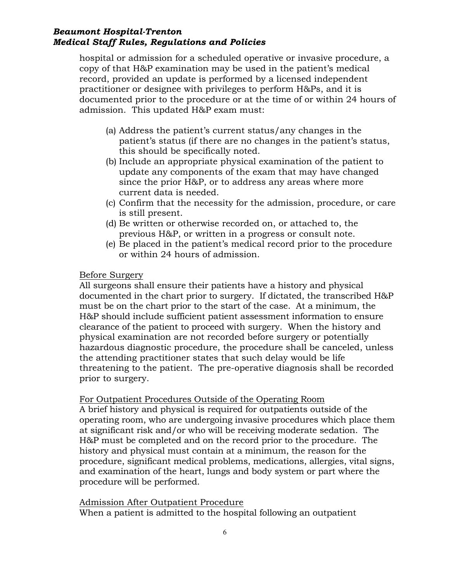hospital or admission for a scheduled operative or invasive procedure, a copy of that H&P examination may be used in the patient's medical record, provided an update is performed by a licensed independent practitioner or designee with privileges to perform H&Ps, and it is documented prior to the procedure or at the time of or within 24 hours of admission. This updated H&P exam must:

- (a) Address the patient's current status/any changes in the patient's status (if there are no changes in the patient's status, this should be specifically noted.
- (b) Include an appropriate physical examination of the patient to update any components of the exam that may have changed since the prior H&P, or to address any areas where more current data is needed.
- (c) Confirm that the necessity for the admission, procedure, or care is still present.
- (d) Be written or otherwise recorded on, or attached to, the previous H&P, or written in a progress or consult note.
- (e) Be placed in the patient's medical record prior to the procedure or within 24 hours of admission.

# Before Surgery

All surgeons shall ensure their patients have a history and physical documented in the chart prior to surgery. If dictated, the transcribed H&P must be on the chart prior to the start of the case. At a minimum, the H&P should include sufficient patient assessment information to ensure clearance of the patient to proceed with surgery. When the history and physical examination are not recorded before surgery or potentially hazardous diagnostic procedure, the procedure shall be canceled, unless the attending practitioner states that such delay would be life threatening to the patient. The pre-operative diagnosis shall be recorded prior to surgery.

# For Outpatient Procedures Outside of the Operating Room

A brief history and physical is required for outpatients outside of the operating room, who are undergoing invasive procedures which place them at significant risk and/or who will be receiving moderate sedation. The H&P must be completed and on the record prior to the procedure. The history and physical must contain at a minimum, the reason for the procedure, significant medical problems, medications, allergies, vital signs, and examination of the heart, lungs and body system or part where the procedure will be performed.

### Admission After Outpatient Procedure When a patient is admitted to the hospital following an outpatient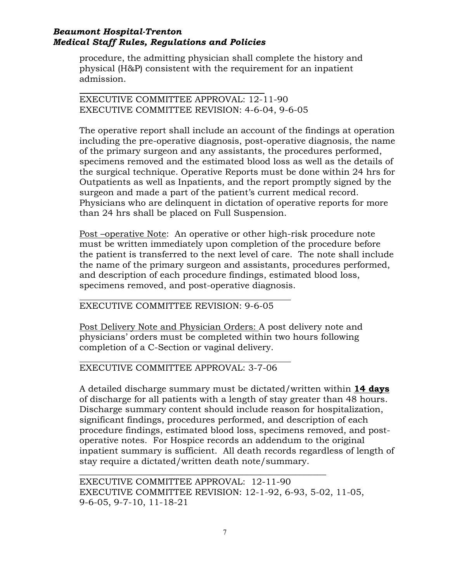procedure, the admitting physician shall complete the history and physical (H&P) consistent with the requirement for an inpatient admission.

EXECUTIVE COMMITTEE APPROVAL: 12-11-90 EXECUTIVE COMMITTEE REVISION: 4-6-04, 9-6-05

The operative report shall include an account of the findings at operation including the pre-operative diagnosis, post-operative diagnosis, the name of the primary surgeon and any assistants, the procedures performed, specimens removed and the estimated blood loss as well as the details of the surgical technique. Operative Reports must be done within 24 hrs for Outpatients as well as Inpatients, and the report promptly signed by the surgeon and made a part of the patient's current medical record. Physicians who are delinquent in dictation of operative reports for more than 24 hrs shall be placed on Full Suspension.

Post –operative Note: An operative or other high-risk procedure note must be written immediately upon completion of the procedure before the patient is transferred to the next level of care. The note shall include the name of the primary surgeon and assistants, procedures performed, and description of each procedure findings, estimated blood loss, specimens removed, and post-operative diagnosis.

# EXECUTIVE COMMITTEE REVISION: 9-6-05

Post Delivery Note and Physician Orders: A post delivery note and physicians' orders must be completed within two hours following completion of a C-Section or vaginal delivery.

# EXECUTIVE COMMITTEE APPROVAL: 3-7-06

A detailed discharge summary must be dictated/written within **14 days** of discharge for all patients with a length of stay greater than 48 hours. Discharge summary content should include reason for hospitalization, significant findings, procedures performed, and description of each procedure findings, estimated blood loss, specimens removed, and postoperative notes. For Hospice records an addendum to the original inpatient summary is sufficient. All death records regardless of length of stay require a dictated/written death note/summary.

EXECUTIVE COMMITTEE APPROVAL: 12-11-90 EXECUTIVE COMMITTEE REVISION: 12-1-92, 6-93, 5-02, 11-05, 9-6-05, 9-7-10, 11-18-21

*\_\_\_\_\_\_\_\_\_\_\_\_\_\_\_\_\_\_\_\_\_\_\_\_\_\_\_\_\_\_\_\_\_\_\_\_\_\_\_\_\_\_\_\_\_\_\_\_\_\_\_\_\_\_\_\_*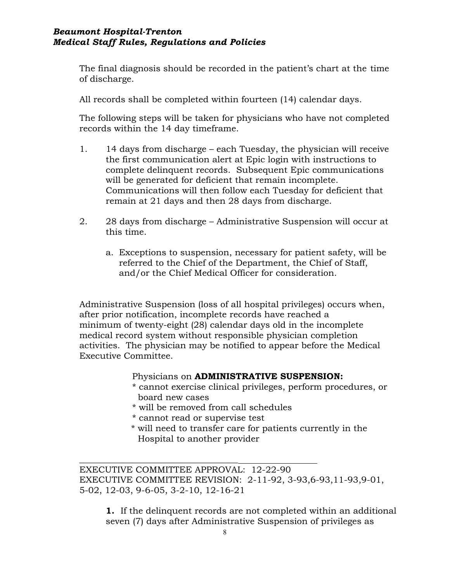The final diagnosis should be recorded in the patient's chart at the time of discharge.

All records shall be completed within fourteen (14) calendar days.

The following steps will be taken for physicians who have not completed records within the 14 day timeframe.

- 1. 14 days from discharge each Tuesday, the physician will receive the first communication alert at Epic login with instructions to complete delinquent records. Subsequent Epic communications will be generated for deficient that remain incomplete. Communications will then follow each Tuesday for deficient that remain at 21 days and then 28 days from discharge.
- 2. 28 days from discharge Administrative Suspension will occur at this time.
	- a. Exceptions to suspension, necessary for patient safety, will be referred to the Chief of the Department, the Chief of Staff, and/or the Chief Medical Officer for consideration.

Administrative Suspension (loss of all hospital privileges) occurs when, after prior notification, incomplete records have reached a minimum of twenty-eight (28) calendar days old in the incomplete medical record system without responsible physician completion activities. The physician may be notified to appear before the Medical Executive Committee.

### Physicians on **ADMINISTRATIVE SUSPENSION:**

- \* cannot exercise clinical privileges, perform procedures, or board new cases
- \* will be removed from call schedules
- \* cannot read or supervise test

*\_\_\_\_\_\_\_\_\_\_\_\_\_\_\_\_\_\_\_\_\_\_\_\_\_\_\_\_\_\_\_\_\_\_\_\_*

 \* will need to transfer care for patients currently in the Hospital to another provider

EXECUTIVE COMMITTEE APPROVAL: 12-22-90 EXECUTIVE COMMITTEE REVISION: 2-11-92, 3-93,6-93,11-93,9-01, 5-02, 12-03, 9-6-05, 3-2-10, 12-16-21

**1.** If the delinquent records are not completed within an additional seven (7) days after Administrative Suspension of privileges as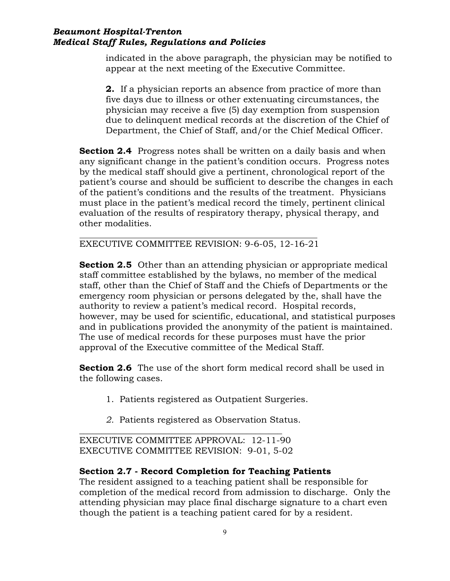indicated in the above paragraph, the physician may be notified to appear at the next meeting of the Executive Committee.

**2.** If a physician reports an absence from practice of more than five days due to illness or other extenuating circumstances, the physician may receive a five (5) day exemption from suspension due to delinquent medical records at the discretion of the Chief of Department, the Chief of Staff, and/or the Chief Medical Officer.

**Section 2.4** Progress notes shall be written on a daily basis and when any significant change in the patient's condition occurs. Progress notes by the medical staff should give a pertinent, chronological report of the patient's course and should be sufficient to describe the changes in each of the patient's conditions and the results of the treatment. Physicians must place in the patient's medical record the timely, pertinent clinical evaluation of the results of respiratory therapy, physical therapy, and other modalities.

EXECUTIVE COMMITTEE REVISION: 9-6-05, 12-16-21

**Section 2.5** Other than an attending physician or appropriate medical staff committee established by the bylaws, no member of the medical staff, other than the Chief of Staff and the Chiefs of Departments or the emergency room physician or persons delegated by the, shall have the authority to review a patient's medical record. Hospital records, however, may be used for scientific, educational, and statistical purposes and in publications provided the anonymity of the patient is maintained. The use of medical records for these purposes must have the prior approval of the Executive committee of the Medical Staff.

**Section 2.6** The use of the short form medical record shall be used in the following cases.

- 1. Patients registered as Outpatient Surgeries.
- *2.* Patients registered as Observation Status.

EXECUTIVE COMMITTEE APPROVAL: 12-11-90 EXECUTIVE COMMITTEE REVISION: 9-01, 5-02

*\_\_\_\_\_\_\_\_\_\_\_\_\_\_\_\_\_\_\_\_\_\_\_\_\_\_\_\_\_\_\_\_\_\_\_\_\_\_\_\_\_\_\_\_\_\_*

# **Section 2.7 - Record Completion for Teaching Patients**

The resident assigned to a teaching patient shall be responsible for completion of the medical record from admission to discharge. Only the attending physician may place final discharge signature to a chart even though the patient is a teaching patient cared for by a resident.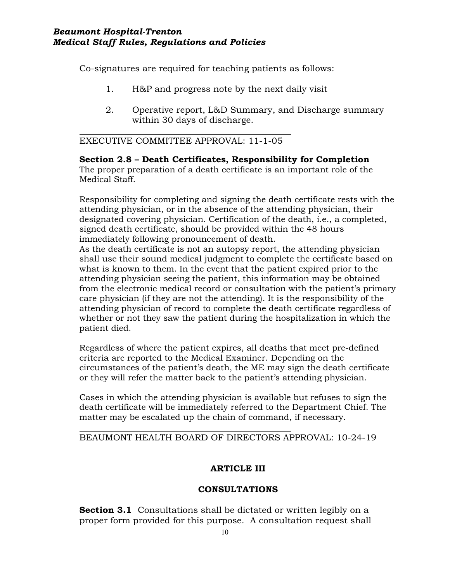Co-signatures are required for teaching patients as follows:

- 1. H&P and progress note by the next daily visit
- 2. Operative report, L&D Summary, and Discharge summary within 30 days of discharge.

EXECUTIVE COMMITTEE APPROVAL: 11-1-05

**Section 2.8 – Death Certificates, Responsibility for Completion** The proper preparation of a death certificate is an important role of the Medical Staff.

Responsibility for completing and signing the death certificate rests with the attending physician, or in the absence of the attending physician, their designated covering physician. Certification of the death, i.e., a completed, signed death certificate, should be provided within the 48 hours immediately following pronouncement of death.

As the death certificate is not an autopsy report, the attending physician shall use their sound medical judgment to complete the certificate based on what is known to them. In the event that the patient expired prior to the attending physician seeing the patient, this information may be obtained from the electronic medical record or consultation with the patient's primary care physician (if they are not the attending). It is the responsibility of the attending physician of record to complete the death certificate regardless of whether or not they saw the patient during the hospitalization in which the patient died.

Regardless of where the patient expires, all deaths that meet pre-defined criteria are reported to the Medical Examiner. Depending on the circumstances of the patient's death, the ME may sign the death certificate or they will refer the matter back to the patient's attending physician.

Cases in which the attending physician is available but refuses to sign the death certificate will be immediately referred to the Department Chief. The matter may be escalated up the chain of command, if necessary.

BEAUMONT HEALTH BOARD OF DIRECTORS APPROVAL: 10-24-19

# **ARTICLE III**

# **CONSULTATIONS**

**Section 3.1** Consultations shall be dictated or written legibly on a proper form provided for this purpose. A consultation request shall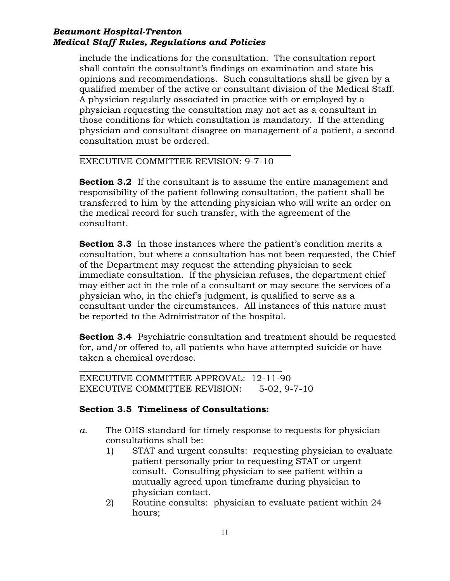include the indications for the consultation. The consultation report shall contain the consultant's findings on examination and state his opinions and recommendations. Such consultations shall be given by a qualified member of the active or consultant division of the Medical Staff. A physician regularly associated in practice with or employed by a physician requesting the consultation may not act as a consultant in those conditions for which consultation is mandatory. If the attending physician and consultant disagree on management of a patient, a second consultation must be ordered.

EXECUTIVE COMMITTEE REVISION: 9-7-10

**Section 3.2** If the consultant is to assume the entire management and responsibility of the patient following consultation, the patient shall be transferred to him by the attending physician who will write an order on the medical record for such transfer, with the agreement of the consultant.

**Section 3.3** In those instances where the patient's condition merits a consultation, but where a consultation has not been requested, the Chief of the Department may request the attending physician to seek immediate consultation. If the physician refuses, the department chief may either act in the role of a consultant or may secure the services of a physician who, in the chief's judgment, is qualified to serve as a consultant under the circumstances. All instances of this nature must be reported to the Administrator of the hospital.

**Section 3.4** Psychiatric consultation and treatment should be requested for, and/or offered to, all patients who have attempted suicide or have taken a chemical overdose.

*\_\_\_\_\_\_\_\_\_\_\_\_\_\_\_\_\_\_\_\_\_\_\_\_\_\_\_\_\_\_\_\_\_\_\_\_\_\_\_\_\_\_\_\_\_\_* EXECUTIVE COMMITTEE APPROVAL: 12-11-90 EXECUTIVE COMMITTEE REVISION: 5-02, 9-7-10

# **Section 3.5 Timeliness of Consultations:**

- *a.* The OHS standard for timely response to requests for physician consultations shall be:
	- 1) STAT and urgent consults: requesting physician to evaluate patient personally prior to requesting STAT or urgent consult. Consulting physician to see patient within a mutually agreed upon timeframe during physician to physician contact.
	- 2) Routine consults: physician to evaluate patient within 24 hours;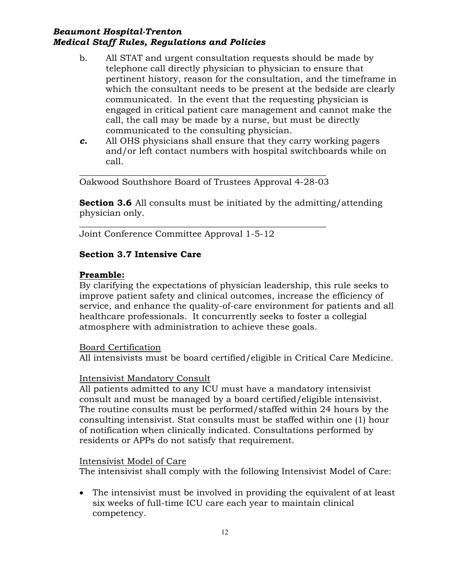- b. All STAT and urgent consultation requests should be made by telephone call directly physician to physician to ensure that pertinent history, reason for the consultation, and the timeframe in which the consultant needs to be present at the bedside are clearly communicated. In the event that the requesting physician is engaged in critical patient care management and cannot make the call, the call may be made by a nurse, but must be directly communicated to the consulting physician.
- *c.* All OHS physicians shall ensure that they carry working pagers and/or left contact numbers with hospital switchboards while on call.

\_\_\_\_\_\_\_\_\_\_\_\_\_\_\_\_\_\_\_\_\_\_\_\_\_\_\_\_\_\_\_\_\_\_\_\_\_\_\_\_\_\_\_\_\_\_\_\_\_\_\_\_\_\_\_\_ Oakwood Southshore Board of Trustees Approval 4-28-03

**Section 3.6** All consults must be initiated by the admitting/attending physician only.

\_\_\_\_\_\_\_\_\_\_\_\_\_\_\_\_\_\_\_\_\_\_\_\_\_\_\_\_\_\_\_\_\_\_\_\_\_\_\_\_\_\_\_\_\_\_\_\_\_\_\_\_\_\_\_\_ Joint Conference Committee Approval 1-5-12

# **Section 3.7 Intensive Care**

# **Preamble:**

By clarifying the expectations of physician leadership, this rule seeks to improve patient safety and clinical outcomes, increase the efficiency of service, and enhance the quality-of-care environment for patients and all healthcare professionals. It concurrently seeks to foster a collegial atmosphere with administration to achieve these goals.

Board Certification

All intensivists must be board certified/eligible in Critical Care Medicine.

# Intensivist Mandatory Consult

All patients admitted to any ICU must have a mandatory intensivist consult and must be managed by a board certified/eligible intensivist. The routine consults must be performed/staffed within 24 hours by the consulting intensivist. Stat consults must be staffed within one (1) hour of notification when clinically indicated. Consultations performed by residents or APPs do not satisfy that requirement.

# Intensivist Model of Care

The intensivist shall comply with the following Intensivist Model of Care:

• The intensivist must be involved in providing the equivalent of at least six weeks of full-time ICU care each year to maintain clinical competency.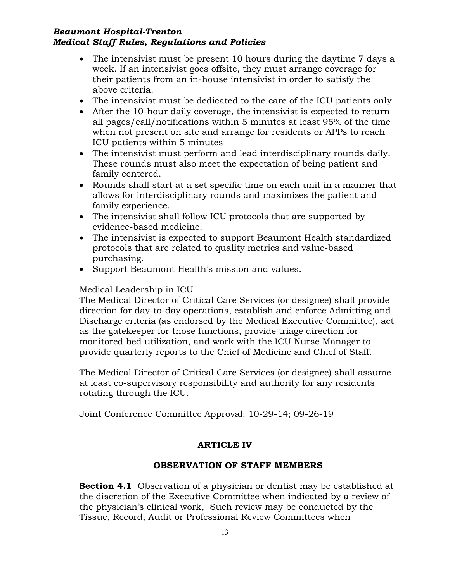- The intensivist must be present 10 hours during the daytime 7 days a week. If an intensivist goes offsite, they must arrange coverage for their patients from an in-house intensivist in order to satisfy the above criteria.
- The intensivist must be dedicated to the care of the ICU patients only.
- After the 10-hour daily coverage, the intensivist is expected to return all pages/call/notifications within 5 minutes at least 95% of the time when not present on site and arrange for residents or APPs to reach ICU patients within 5 minutes
- The intensivist must perform and lead interdisciplinary rounds daily. These rounds must also meet the expectation of being patient and family centered.
- Rounds shall start at a set specific time on each unit in a manner that allows for interdisciplinary rounds and maximizes the patient and family experience.
- The intensivist shall follow ICU protocols that are supported by evidence-based medicine.
- The intensivist is expected to support Beaumont Health standardized protocols that are related to quality metrics and value-based purchasing.
- Support Beaumont Health's mission and values.

# Medical Leadership in ICU

The Medical Director of Critical Care Services (or designee) shall provide direction for day-to-day operations, establish and enforce Admitting and Discharge criteria (as endorsed by the Medical Executive Committee), act as the gatekeeper for those functions, provide triage direction for monitored bed utilization, and work with the ICU Nurse Manager to provide quarterly reports to the Chief of Medicine and Chief of Staff.

The Medical Director of Critical Care Services (or designee) shall assume at least co-supervisory responsibility and authority for any residents rotating through the ICU.

\_\_\_\_\_\_\_\_\_\_\_\_\_\_\_\_\_\_\_\_\_\_\_\_\_\_\_\_\_\_\_\_\_\_\_\_\_\_\_\_\_\_\_\_\_\_\_\_\_\_\_\_\_\_\_\_ Joint Conference Committee Approval: 10-29-14; 09-26-19

# **ARTICLE IV**

# **OBSERVATION OF STAFF MEMBERS**

**Section 4.1** Observation of a physician or dentist may be established at the discretion of the Executive Committee when indicated by a review of the physician's clinical work, Such review may be conducted by the Tissue, Record, Audit or Professional Review Committees when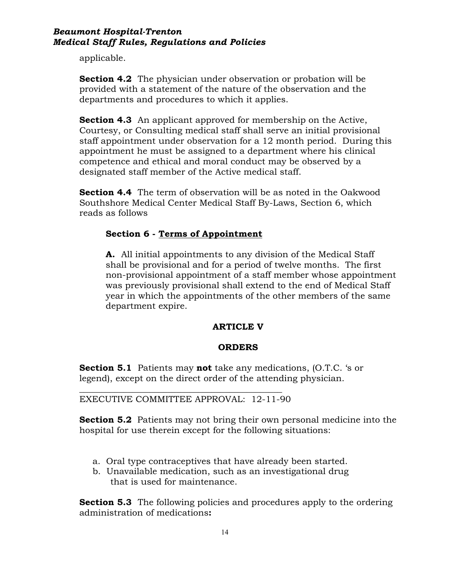applicable.

**Section 4.2** The physician under observation or probation will be provided with a statement of the nature of the observation and the departments and procedures to which it applies.

**Section 4.3** An applicant approved for membership on the Active, Courtesy, or Consulting medical staff shall serve an initial provisional staff appointment under observation for a 12 month period. During this appointment he must be assigned to a department where his clinical competence and ethical and moral conduct may be observed by a designated staff member of the Active medical staff.

**Section 4.4** The term of observation will be as noted in the Oakwood Southshore Medical Center Medical Staff By-Laws, Section 6, which reads as follows

# **Section 6 - Terms of Appointment**

**A.** All initial appointments to any division of the Medical Staff shall be provisional and for a period of twelve months. The first non-provisional appointment of a staff member whose appointment was previously provisional shall extend to the end of Medical Staff year in which the appointments of the other members of the same department expire.

# **ARTICLE V**

### **ORDERS**

**Section 5.1** Patients may **not** take any medications, (O.T.C. 's or legend), except on the direct order of the attending physician.

*\_\_\_\_\_\_\_\_\_\_\_\_\_\_\_\_\_\_\_\_\_\_\_\_\_\_\_\_\_\_\_\_\_\_\_\_\_\_\_\_\_\_\_\_\_\_* EXECUTIVE COMMITTEE APPROVAL: 12-11-90

**Section 5.2** Patients may not bring their own personal medicine into the hospital for use therein except for the following situations:

- a. Oral type contraceptives that have already been started.
- b. Unavailable medication, such as an investigational drug that is used for maintenance.

**Section 5.3** The following policies and procedures apply to the ordering administration of medications**:**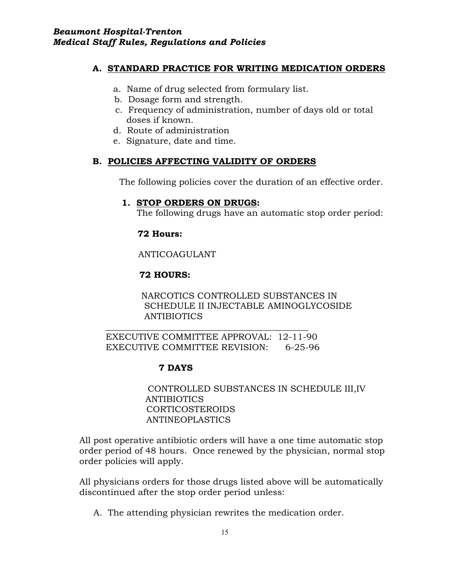# **A. STANDARD PRACTICE FOR WRITING MEDICATION ORDERS**

- a. Name of drug selected from formulary list.
- b. Dosage form and strength.
- c. Frequency of administration, number of days old or total doses if known.
- d. Route of administration
- e. Signature, date and time.

# **B. POLICIES AFFECTING VALIDITY OF ORDERS**

The following policies cover the duration of an effective order.

### **1. STOP ORDERS ON DRUGS:**

The following drugs have an automatic stop order period:

### **72 Hours:**

ANTICOAGULANT

# **72 HOURS:**

NARCOTICS CONTROLLED SUBSTANCES IN SCHEDULE II INJECTABLE AMINOGLYCOSIDE ANTIBIOTICS

*\_\_\_\_\_\_\_\_\_\_\_\_\_\_\_\_\_\_\_\_\_\_\_\_\_\_\_\_\_\_\_\_\_\_\_\_\_\_\_\_\_\_\_\_\_\_* EXECUTIVE COMMITTEE APPROVAL: 12-11-90 EXECUTIVE COMMITTEE REVISION: 6-25-96

# **7 DAYS**

CONTROLLED SUBSTANCES IN SCHEDULE III,IV **ANTIBIOTICS**  CORTICOSTEROIDS ANTINEOPLASTICS

All post operative antibiotic orders will have a one time automatic stop order period of 48 hours. Once renewed by the physician, normal stop order policies will apply.

All physicians orders for those drugs listed above will be automatically discontinued after the stop order period unless:

A. The attending physician rewrites the medication order.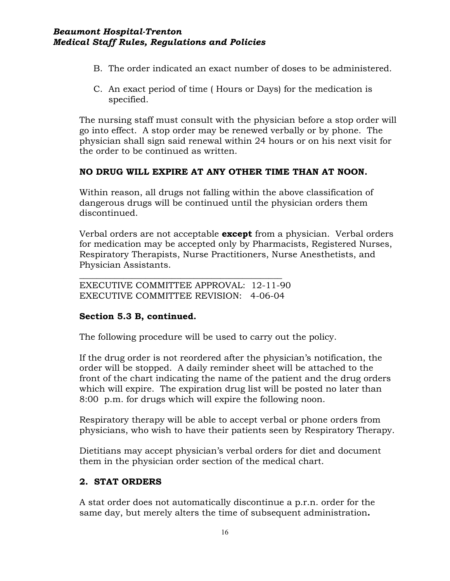- B. The order indicated an exact number of doses to be administered.
- C. An exact period of time ( Hours or Days) for the medication is specified.

The nursing staff must consult with the physician before a stop order will go into effect. A stop order may be renewed verbally or by phone. The physician shall sign said renewal within 24 hours or on his next visit for the order to be continued as written.

### **NO DRUG WILL EXPIRE AT ANY OTHER TIME THAN AT NOON.**

Within reason, all drugs not falling within the above classification of dangerous drugs will be continued until the physician orders them discontinued.

Verbal orders are not acceptable **except** from a physician. Verbal orders for medication may be accepted only by Pharmacists, Registered Nurses, Respiratory Therapists, Nurse Practitioners, Nurse Anesthetists, and Physician Assistants.

EXECUTIVE COMMITTEE APPROVAL: 12-11-90 EXECUTIVE COMMITTEE REVISION: 4-06-04

*\_\_\_\_\_\_\_\_\_\_\_\_\_\_\_\_\_\_\_\_\_\_\_\_\_\_\_\_\_\_\_\_\_\_\_\_\_\_\_\_\_\_\_\_\_\_*

### **Section 5.3 B, continued.**

The following procedure will be used to carry out the policy.

If the drug order is not reordered after the physician's notification, the order will be stopped. A daily reminder sheet will be attached to the front of the chart indicating the name of the patient and the drug orders which will expire. The expiration drug list will be posted no later than 8:00 p.m. for drugs which will expire the following noon.

Respiratory therapy will be able to accept verbal or phone orders from physicians, who wish to have their patients seen by Respiratory Therapy.

Dietitians may accept physician's verbal orders for diet and document them in the physician order section of the medical chart.

### **2. STAT ORDERS**

A stat order does not automatically discontinue a p.r.n. order for the same day, but merely alters the time of subsequent administration**.**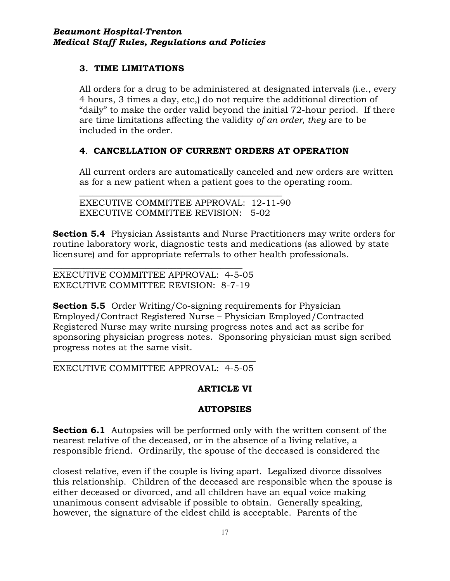# **3. TIME LIMITATIONS**

All orders for a drug to be administered at designated intervals (i.e., every 4 hours, 3 times a day, etc,) do not require the additional direction of "daily" to make the order valid beyond the initial 72-hour period. If there are time limitations affecting the validity *of an order, they* are to be included in the order.

# **4**. **CANCELLATION OF CURRENT ORDERS AT OPERATION**

All current orders are automatically canceled and new orders are written as for a new patient when a patient goes to the operating room.

*\_\_\_\_\_\_\_\_\_\_\_\_\_\_\_\_\_\_\_\_\_\_\_\_\_\_\_\_\_\_\_\_\_\_\_\_\_\_\_\_\_\_\_\_\_\_* EXECUTIVE COMMITTEE APPROVAL: 12-11-90 EXECUTIVE COMMITTEE REVISION: 5-02

**Section 5.4** Physician Assistants and Nurse Practitioners may write orders for routine laboratory work, diagnostic tests and medications (as allowed by state licensure) and for appropriate referrals to other health professionals.

*\_\_\_\_\_\_\_\_\_\_\_\_\_\_\_\_\_\_\_\_\_\_\_\_\_\_\_\_\_\_\_\_\_\_\_\_\_\_\_\_\_\_\_* EXECUTIVE COMMITTEE APPROVAL: 4-5-05 EXECUTIVE COMMITTEE REVISION: 8-7-19

**Section 5.5** Order Writing/Co-signing requirements for Physician Employed/Contract Registered Nurse – Physician Employed/Contracted Registered Nurse may write nursing progress notes and act as scribe for sponsoring physician progress notes. Sponsoring physician must sign scribed progress notes at the same visit.

### *\_\_\_\_\_\_\_\_\_\_\_\_\_\_\_\_\_\_\_\_\_\_\_\_\_\_\_\_\_\_\_\_\_\_\_\_\_\_\_\_\_\_\_\_\_\_* EXECUTIVE COMMITTEE APPROVAL: 4-5-05

# **ARTICLE VI**

# **AUTOPSIES**

**Section 6.1** Autopsies will be performed only with the written consent of the nearest relative of the deceased, or in the absence of a living relative, a responsible friend. Ordinarily, the spouse of the deceased is considered the

closest relative, even if the couple is living apart. Legalized divorce dissolves this relationship. Children of the deceased are responsible when the spouse is either deceased or divorced, and all children have an equal voice making unanimous consent advisable if possible to obtain. Generally speaking, however, the signature of the eldest child is acceptable. Parents of the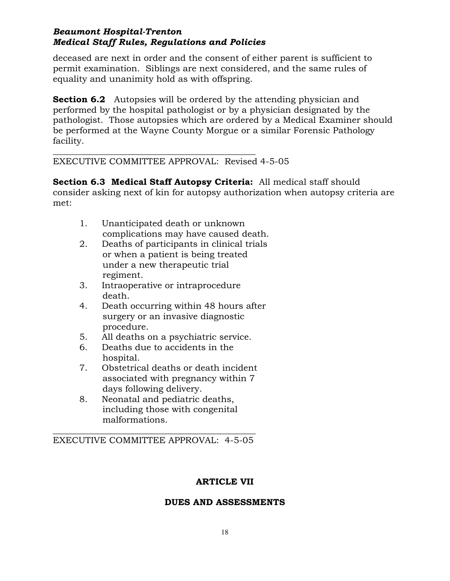deceased are next in order and the consent of either parent is sufficient to permit examination. Siblings are next considered, and the same rules of equality and unanimity hold as with offspring.

**Section 6.2** Autopsies will be ordered by the attending physician and performed by the hospital pathologist or by a physician designated by the pathologist. Those autopsies which are ordered by a Medical Examiner should be performed at the Wayne County Morgue or a similar Forensic Pathology facility.

*\_\_\_\_\_\_\_\_\_\_\_\_\_\_\_\_\_\_\_\_\_\_\_\_\_\_\_\_\_\_\_\_\_\_\_\_\_\_\_\_\_\_\_\_\_\_* EXECUTIVE COMMITTEE APPROVAL: Revised 4-5-05

**Section 6.3 Medical Staff Autopsy Criteria:** All medical staff should consider asking next of kin for autopsy authorization when autopsy criteria are met:

- 1. Unanticipated death or unknown complications may have caused death.
- 2. Deaths of participants in clinical trials or when a patient is being treated under a new therapeutic trial regiment.
- 3. Intraoperative or intraprocedure death.
- 4. Death occurring within 48 hours after surgery or an invasive diagnostic procedure.
- 5. All deaths on a psychiatric service.
- 6. Deaths due to accidents in the hospital.<br>7. Obstetric
- 7. Obstetrical deaths or death incident associated with pregnancy within 7 days following delivery.
- 8. Neonatal and pediatric deaths, including those with congenital malformations.

*\_\_\_\_\_\_\_\_\_\_\_\_\_\_\_\_\_\_\_\_\_\_\_\_\_\_\_\_\_\_\_\_\_\_\_\_\_\_\_\_\_\_\_\_\_\_* EXECUTIVE COMMITTEE APPROVAL: 4-5-05

# **ARTICLE VII**

# **DUES AND ASSESSMENTS**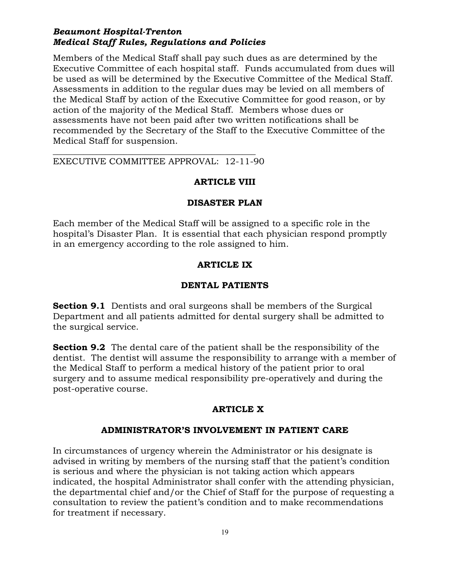Members of the Medical Staff shall pay such dues as are determined by the Executive Committee of each hospital staff. Funds accumulated from dues will be used as will be determined by the Executive Committee of the Medical Staff. Assessments in addition to the regular dues may be levied on all members of the Medical Staff by action of the Executive Committee for good reason, or by action of the majority of the Medical Staff. Members whose dues or assessments have not been paid after two written notifications shall be recommended by the Secretary of the Staff to the Executive Committee of the Medical Staff for suspension.

*\_\_\_\_\_\_\_\_\_\_\_\_\_\_\_\_\_\_\_\_\_\_\_\_\_\_\_\_\_\_\_\_\_\_\_\_\_\_\_\_\_\_\_\_\_\_* EXECUTIVE COMMITTEE APPROVAL: 12-11-90

### **ARTICLE VIII**

### **DISASTER PLAN**

Each member of the Medical Staff will be assigned to a specific role in the hospital's Disaster Plan. It is essential that each physician respond promptly in an emergency according to the role assigned to him.

### **ARTICLE IX**

### **DENTAL PATIENTS**

**Section 9.1** Dentists and oral surgeons shall be members of the Surgical Department and all patients admitted for dental surgery shall be admitted to the surgical service.

**Section 9.2** The dental care of the patient shall be the responsibility of the dentist. The dentist will assume the responsibility to arrange with a member of the Medical Staff to perform a medical history of the patient prior to oral surgery and to assume medical responsibility pre-operatively and during the post-operative course.

### **ARTICLE X**

### **ADMINISTRATOR'S INVOLVEMENT IN PATIENT CARE**

In circumstances of urgency wherein the Administrator or his designate is advised in writing by members of the nursing staff that the patient's condition is serious and where the physician is not taking action which appears indicated, the hospital Administrator shall confer with the attending physician, the departmental chief and/or the Chief of Staff for the purpose of requesting a consultation to review the patient's condition and to make recommendations for treatment if necessary.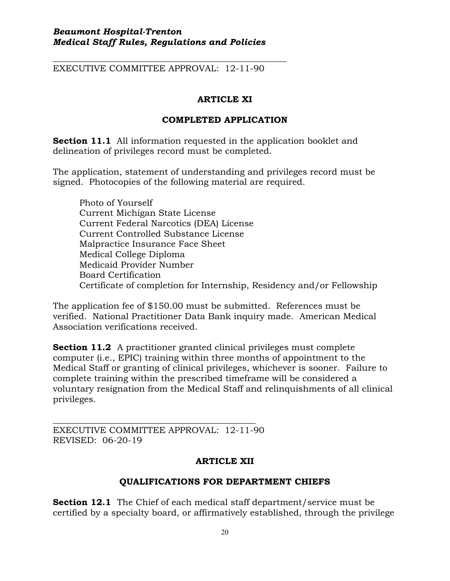*\_\_\_\_\_\_\_\_\_\_\_\_\_\_\_\_\_\_\_\_\_\_\_\_\_\_\_\_\_\_\_\_\_\_\_\_\_\_\_\_\_\_\_\_\_\_\_\_\_\_\_\_\_* EXECUTIVE COMMITTEE APPROVAL: 12-11-90

# **ARTICLE XI**

### **COMPLETED APPLICATION**

**Section 11.1** All information requested in the application booklet and delineation of privileges record must be completed.

The application, statement of understanding and privileges record must be signed. Photocopies of the following material are required.

Photo of Yourself Current Michigan State License Current Federal Narcotics (DEA) License Current Controlled Substance License Malpractice Insurance Face Sheet Medical College Diploma Medicaid Provider Number Board Certification Certificate of completion for Internship, Residency and/or Fellowship

The application fee of \$150.00 must be submitted. References must be verified. National Practitioner Data Bank inquiry made. American Medical Association verifications received.

**Section 11.2** A practitioner granted clinical privileges must complete computer (i.e., EPIC) training within three months of appointment to the Medical Staff or granting of clinical privileges, whichever is sooner. Failure to complete training within the prescribed timeframe will be considered a voluntary resignation from the Medical Staff and relinquishments of all clinical privileges.

EXECUTIVE COMMITTEE APPROVAL: 12-11-90 REVISED: 06-20-19

*\_\_\_\_\_\_\_\_\_\_\_\_\_\_\_\_\_\_\_\_\_\_\_\_\_\_\_\_\_\_\_\_\_\_\_\_\_\_\_\_\_\_\_\_\_\_*

# **ARTICLE XII**

# **QUALIFICATIONS FOR DEPARTMENT CHIEFS**

**Section 12.1** The Chief of each medical staff department/service must be certified by a specialty board, or affirmatively established, through the privilege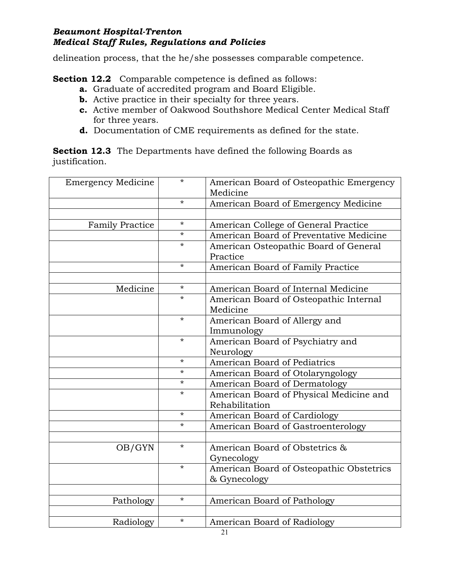delineation process, that the he/she possesses comparable competence.

**Section 12.2** Comparable competence is defined as follows:

- **a.** Graduate of accredited program and Board Eligible.
- **b.** Active practice in their specialty for three years.
- **c.** Active member of Oakwood Southshore Medical Center Medical Staff for three years.
- **d.** Documentation of CME requirements as defined for the state.

**Section 12.3** The Departments have defined the following Boards as justification.

| <b>Emergency Medicine</b> | $\star$  | American Board of Osteopathic Emergency<br>Medicine |
|---------------------------|----------|-----------------------------------------------------|
|                           | $\star$  | American Board of Emergency Medicine                |
|                           |          |                                                     |
| <b>Family Practice</b>    | $\star$  | American College of General Practice                |
|                           | $\star$  | American Board of Preventative Medicine             |
|                           | $^\star$ | American Osteopathic Board of General<br>Practice   |
|                           | $\star$  | American Board of Family Practice                   |
|                           |          |                                                     |
| Medicine                  | $^\star$ | American Board of Internal Medicine                 |
|                           | $\star$  | American Board of Osteopathic Internal              |
|                           |          | Medicine                                            |
|                           | $\star$  | American Board of Allergy and                       |
|                           |          | Immunology                                          |
|                           | $\star$  | American Board of Psychiatry and                    |
|                           |          | Neurology                                           |
|                           | $\star$  | American Board of Pediatrics                        |
|                           | $^\star$ | American Board of Otolaryngology                    |
|                           | $\star$  | American Board of Dermatology                       |
|                           | $\star$  | American Board of Physical Medicine and             |
|                           |          | Rehabilitation                                      |
|                           | $\star$  | American Board of Cardiology                        |
|                           | $\star$  | American Board of Gastroenterology                  |
|                           |          |                                                     |
| OB/GYN                    | $\star$  | American Board of Obstetrics &                      |
|                           |          | Gynecology                                          |
|                           | $\star$  | American Board of Osteopathic Obstetrics            |
|                           |          | & Gynecology                                        |
|                           |          |                                                     |
| Pathology                 | $\star$  | American Board of Pathology                         |
|                           |          |                                                     |
| Radiology                 | $\star$  | American Board of Radiology                         |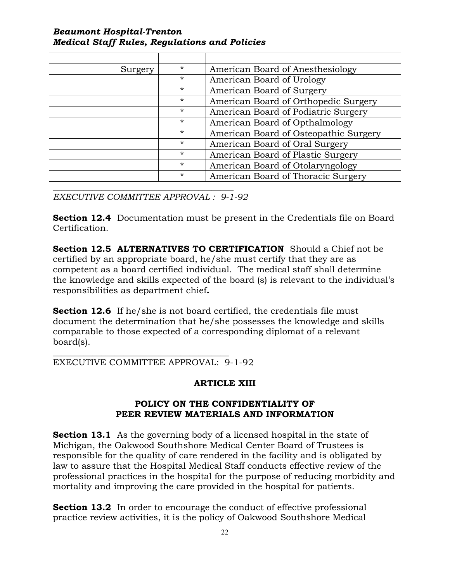| Surgery | $\star$  | American Board of Anesthesiology      |
|---------|----------|---------------------------------------|
|         | $\star$  | American Board of Urology             |
|         | $\star$  | American Board of Surgery             |
|         | $\star$  | American Board of Orthopedic Surgery  |
|         | $\star$  | American Board of Podiatric Surgery   |
|         | $\star$  | American Board of Opthalmology        |
|         | $\star$  | American Board of Osteopathic Surgery |
|         | $\star$  | American Board of Oral Surgery        |
|         | $\star$  | American Board of Plastic Surgery     |
|         | $\star$  | American Board of Otolaryngology      |
|         | $^\star$ | American Board of Thoracic Surgery    |

*\_\_\_\_\_\_\_\_\_\_\_\_\_\_\_\_\_\_\_\_\_\_\_\_\_\_\_\_\_\_\_\_\_\_\_\_\_\_\_\_\_ EXECUTIVE COMMITTEE APPROVAL : 9-1-92*

**Section 12.4** Documentation must be present in the Credentials file on Board Certification.

**Section 12.5 ALTERNATIVES TO CERTIFICATION** Should a Chief not be certified by an appropriate board, he/she must certify that they are as competent as a board certified individual. The medical staff shall determine the knowledge and skills expected of the board (s) is relevant to the individual's responsibilities as department chief**.**

**Section 12.6** If he/she is not board certified, the credentials file must document the determination that he/she possesses the knowledge and skills comparable to those expected of a corresponding diplomat of a relevant board(s).

*\_\_\_\_\_\_\_\_\_\_\_\_\_\_\_\_\_\_\_\_\_\_\_\_\_\_\_\_\_\_\_\_\_\_\_\_\_\_\_\_* EXECUTIVE COMMITTEE APPROVAL: 9-1-92

### **ARTICLE XIII**

### **POLICY ON THE CONFIDENTIALITY OF PEER REVIEW MATERIALS AND INFORMATION**

**Section 13.1** As the governing body of a licensed hospital in the state of Michigan, the Oakwood Southshore Medical Center Board of Trustees is responsible for the quality of care rendered in the facility and is obligated by law to assure that the Hospital Medical Staff conducts effective review of the professional practices in the hospital for the purpose of reducing morbidity and mortality and improving the care provided in the hospital for patients.

**Section 13.2** In order to encourage the conduct of effective professional practice review activities, it is the policy of Oakwood Southshore Medical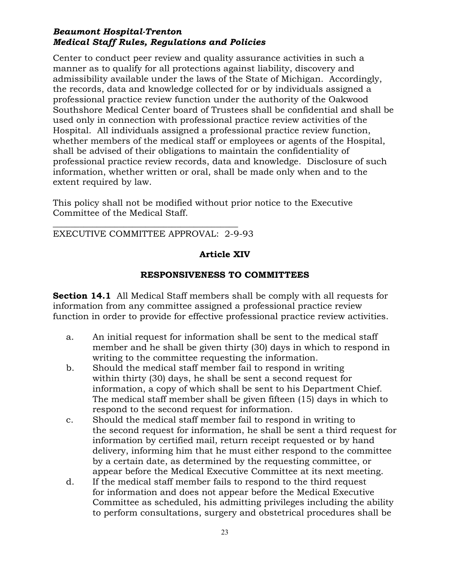Center to conduct peer review and quality assurance activities in such a manner as to qualify for all protections against liability, discovery and admissibility available under the laws of the State of Michigan. Accordingly, the records, data and knowledge collected for or by individuals assigned a professional practice review function under the authority of the Oakwood Southshore Medical Center board of Trustees shall be confidential and shall be used only in connection with professional practice review activities of the Hospital. All individuals assigned a professional practice review function, whether members of the medical staff or employees or agents of the Hospital, shall be advised of their obligations to maintain the confidentiality of professional practice review records, data and knowledge. Disclosure of such information, whether written or oral, shall be made only when and to the extent required by law.

This policy shall not be modified without prior notice to the Executive Committee of the Medical Staff.

*\_\_\_\_\_\_\_\_\_\_\_\_\_\_\_\_\_\_\_\_\_\_\_\_\_\_\_\_\_\_\_\_\_\_\_\_\_\_\_\_\_\_* EXECUTIVE COMMITTEE APPROVAL: 2-9-93

# **Article XIV**

### **RESPONSIVENESS TO COMMITTEES**

**Section 14.1** All Medical Staff members shall be comply with all requests for information from any committee assigned a professional practice review function in order to provide for effective professional practice review activities.

- a. An initial request for information shall be sent to the medical staff member and he shall be given thirty (30) days in which to respond in writing to the committee requesting the information.
- b. Should the medical staff member fail to respond in writing within thirty (30) days, he shall be sent a second request for information, a copy of which shall be sent to his Department Chief. The medical staff member shall be given fifteen (15) days in which to respond to the second request for information.
- c. Should the medical staff member fail to respond in writing to the second request for information, he shall be sent a third request for information by certified mail, return receipt requested or by hand delivery, informing him that he must either respond to the committee by a certain date, as determined by the requesting committee, or appear before the Medical Executive Committee at its next meeting.
- d. If the medical staff member fails to respond to the third request for information and does not appear before the Medical Executive Committee as scheduled, his admitting privileges including the ability to perform consultations, surgery and obstetrical procedures shall be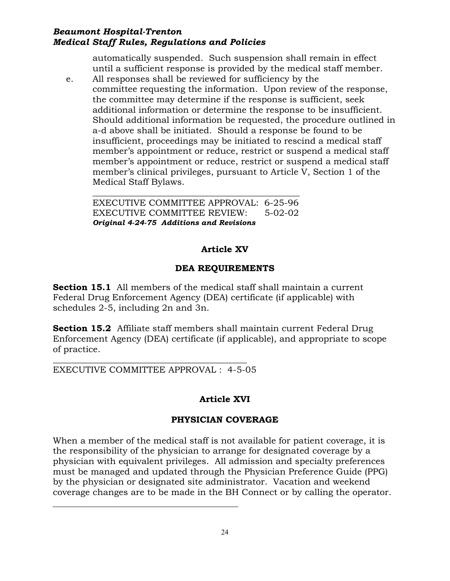automatically suspended. Such suspension shall remain in effect until a sufficient response is provided by the medical staff member.

e. All responses shall be reviewed for sufficiency by the committee requesting the information. Upon review of the response, the committee may determine if the response is sufficient, seek additional information or determine the response to be insufficient. Should additional information be requested, the procedure outlined in a-d above shall be initiated. Should a response be found to be insufficient, proceedings may be initiated to rescind a medical staff member's appointment or reduce, restrict or suspend a medical staff member's appointment or reduce, restrict or suspend a medical staff member's clinical privileges, pursuant to Article V, Section 1 of the Medical Staff Bylaws.

\_\_\_\_\_\_\_\_\_\_\_\_\_\_\_\_\_\_\_\_\_\_\_\_\_\_\_\_\_\_\_\_\_\_\_\_\_\_\_\_\_\_\_\_\_\_\_ EXECUTIVE COMMITTEE APPROVAL: 6-25-96 EXECUTIVE COMMITTEE REVIEW: 5-02-02 *Original 4-24-75 Additions and Revisions*

# **Article XV**

# **DEA REQUIREMENTS**

**Section 15.1** All members of the medical staff shall maintain a current Federal Drug Enforcement Agency (DEA) certificate (if applicable) with schedules 2-5, including 2n and 3n.

**Section 15.2** Affiliate staff members shall maintain current Federal Drug Enforcement Agency (DEA) certificate (if applicable), and appropriate to scope of practice.

### *\_\_\_\_\_\_\_\_\_\_\_\_\_\_\_\_\_\_\_\_\_\_\_\_\_\_\_\_\_\_\_\_\_\_\_\_\_\_\_\_\_\_\_\_* EXECUTIVE COMMITTEE APPROVAL : 4-5-05

# **Article XVI**

# **PHYSICIAN COVERAGE**

When a member of the medical staff is not available for patient coverage, it is the responsibility of the physician to arrange for designated coverage by a physician with equivalent privileges. All admission and specialty preferences must be managed and updated through the Physician Preference Guide (PPG) by the physician or designated site administrator. Vacation and weekend coverage changes are to be made in the BH Connect or by calling the operator.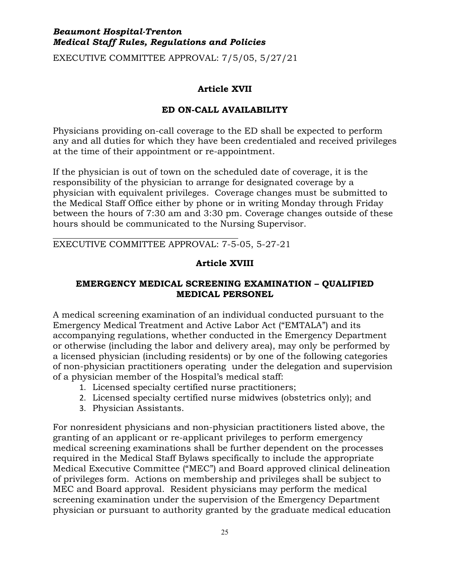EXECUTIVE COMMITTEE APPROVAL: 7/5/05, 5/27/21

# **Article XVII**

# **ED ON-CALL AVAILABILITY**

Physicians providing on-call coverage to the ED shall be expected to perform any and all duties for which they have been credentialed and received privileges at the time of their appointment or re-appointment.

If the physician is out of town on the scheduled date of coverage, it is the responsibility of the physician to arrange for designated coverage by a physician with equivalent privileges. Coverage changes must be submitted to the Medical Staff Office either by phone or in writing Monday through Friday between the hours of 7:30 am and 3:30 pm. Coverage changes outside of these hours should be communicated to the Nursing Supervisor.

EXECUTIVE COMMITTEE APPROVAL: 7-5-05, 5-27-21

# **Article XVIII**

# **EMERGENCY MEDICAL SCREENING EXAMINATION – QUALIFIED MEDICAL PERSONEL**

A medical screening examination of an individual conducted pursuant to the Emergency Medical Treatment and Active Labor Act ("EMTALA") and its accompanying regulations, whether conducted in the Emergency Department or otherwise (including the labor and delivery area), may only be performed by a licensed physician (including residents) or by one of the following categories of non-physician practitioners operating under the delegation and supervision of a physician member of the Hospital's medical staff:

- 1. Licensed specialty certified nurse practitioners;
- 2. Licensed specialty certified nurse midwives (obstetrics only); and
- 3. Physician Assistants.

For nonresident physicians and non-physician practitioners listed above, the granting of an applicant or re-applicant privileges to perform emergency medical screening examinations shall be further dependent on the processes required in the Medical Staff Bylaws specifically to include the appropriate Medical Executive Committee ("MEC") and Board approved clinical delineation of privileges form. Actions on membership and privileges shall be subject to MEC and Board approval. Resident physicians may perform the medical screening examination under the supervision of the Emergency Department physician or pursuant to authority granted by the graduate medical education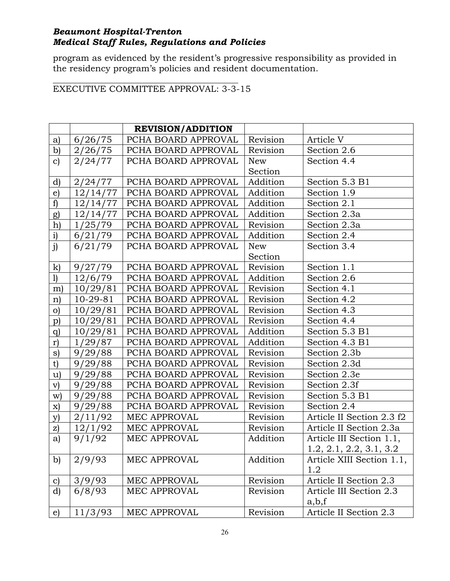program as evidenced by the resident's progressive responsibility as provided in the residency program's policies and resident documentation.

# EXECUTIVE COMMITTEE APPROVAL: 3-3-15

|               |            | <b>REVISION/ADDITION</b> |          |                           |
|---------------|------------|--------------------------|----------|---------------------------|
| a)            | 6/26/75    | PCHA BOARD APPROVAL      | Revision | Article V                 |
| $\mathbf{b}$  | 2/26/75    | PCHA BOARD APPROVAL      | Revision | Section 2.6               |
| $\mathbf{c}$  | 2/24/77    | PCHA BOARD APPROVAL      | New      | Section 4.4               |
|               |            |                          | Section  |                           |
| d)            | 2/24/77    | PCHA BOARD APPROVAL      | Addition | Section 5.3 B1            |
| $\epsilon$    | 12/14/77   | PCHA BOARD APPROVAL      | Addition | Section 1.9               |
| f             | 12/14/77   | PCHA BOARD APPROVAL      | Addition | Section 2.1               |
| g)            | 12/14/77   | PCHA BOARD APPROVAL      | Addition | Section 2.3a              |
| h)            | 1/25/79    | PCHA BOARD APPROVAL      | Revision | Section 2.3a              |
| $\mathbf{i}$  | 6/21/79    | PCHA BOARD APPROVAL      | Addition | Section 2.4               |
| j)            | 6/21/79    | PCHA BOARD APPROVAL      | New      | Section 3.4               |
|               |            |                          | Section  |                           |
| $\mathbf{k}$  | 9/27/79    | PCHA BOARD APPROVAL      | Revision | Section 1.1               |
| 1)            | 12/6/79    | PCHA BOARD APPROVAL      | Addition | Section 2.6               |
| m             | 10/29/81   | PCHA BOARD APPROVAL      | Revision | Section 4.1               |
| $\mathbf{n}$  | $10-29-81$ | PCHA BOARD APPROVAL      | Revision | Section 4.2               |
| $\circ)$      | 10/29/81   | PCHA BOARD APPROVAL      | Revision | Section 4.3               |
| p)            | 10/29/81   | PCHA BOARD APPROVAL      | Revision | Section 4.4               |
| q)            | 10/29/81   | PCHA BOARD APPROVAL      | Addition | Section 5.3 B1            |
| r)            | 1/29/87    | PCHA BOARD APPROVAL      | Addition | Section 4.3 B1            |
| s)            | 9/29/88    | PCHA BOARD APPROVAL      | Revision | Section 2.3b              |
| t)            | 9/29/88    | PCHA BOARD APPROVAL      | Revision | Section 2.3d              |
| u)            | 9/29/88    | PCHA BOARD APPROVAL      | Revision | Section 2.3e              |
| V)            | 9/29/88    | PCHA BOARD APPROVAL      | Revision | Section 2.3f              |
| $\mathbf{w}$  | 9/29/88    | PCHA BOARD APPROVAL      | Revision | Section 5.3 B1            |
| X)            | 9/29/88    | PCHA BOARD APPROVAL      | Revision | Section 2.4               |
| y)            | 2/11/92    | MEC APPROVAL             | Revision | Article II Section 2.3 f2 |
| z)            | 12/1/92    | MEC APPROVAL             | Revision | Article II Section 2.3a   |
| a)            | 9/1/92     | MEC APPROVAL             | Addition | Article III Section 1.1,  |
|               |            |                          |          | 1.2, 2.1, 2.2, 3.1, 3.2   |
| $\mathbf{b}$  | 2/9/93     | MEC APPROVAL             | Addition | Article XIII Section 1.1, |
|               |            |                          |          | 1.2                       |
| $\mathbf{c})$ | 3/9/93     | MEC APPROVAL             | Revision | Article II Section 2.3    |
| d)            | 6/8/93     | <b>MEC APPROVAL</b>      | Revision | Article III Section 2.3   |
|               |            |                          |          | a,b,f                     |
| $\epsilon$    | 11/3/93    | MEC APPROVAL             | Revision | Article II Section 2.3    |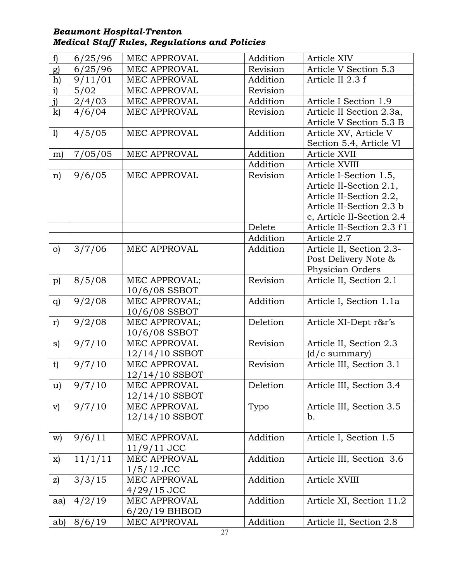| f)            | 6/25/96 | MEC APPROVAL        | Addition | Article XIV               |
|---------------|---------|---------------------|----------|---------------------------|
| g)            | 6/25/96 | MEC APPROVAL        | Revision | Article V Section 5.3     |
| h)            | 9/11/01 | <b>MEC APPROVAL</b> | Addition | Article II 2.3 f          |
| i)            | 5/02    | MEC APPROVAL        | Revision |                           |
| j)            | 2/4/03  | MEC APPROVAL        | Addition | Article I Section 1.9     |
| k)            | 4/6/04  | MEC APPROVAL        | Revision | Article II Section 2.3a,  |
|               |         |                     |          | Article V Section 5.3 B   |
| 1)            | 4/5/05  | MEC APPROVAL        | Addition | Article XV, Article V     |
|               |         |                     |          | Section 5.4, Article VI   |
| m)            | 7/05/05 | MEC APPROVAL        | Addition | Article XVII              |
|               |         |                     | Addition | Article XVIII             |
| n)            | 9/6/05  | <b>MEC APPROVAL</b> | Revision | Article I-Section 1.5,    |
|               |         |                     |          | Article II-Section 2.1,   |
|               |         |                     |          | Article II-Section 2.2,   |
|               |         |                     |          | Article II-Section 2.3 b  |
|               |         |                     |          | c, Article II-Section 2.4 |
|               |         |                     | Delete   | Article II-Section 2.3 f1 |
|               |         |                     | Addition | Article 2.7               |
| O             | 3/7/06  | MEC APPROVAL        | Addition | Article II, Section 2.3-  |
|               |         |                     |          | Post Delivery Note &      |
|               |         |                     |          | Physician Orders          |
| p)            | 8/5/08  | MEC APPROVAL;       | Revision | Article II, Section 2.1   |
|               |         | 10/6/08 SSBOT       |          |                           |
| q             | 9/2/08  | MEC APPROVAL;       | Addition | Article I, Section 1.1a   |
|               |         | 10/6/08 SSBOT       |          |                           |
| r)            | 9/2/08  | MEC APPROVAL;       | Deletion | Article XI-Dept r&r's     |
|               |         | 10/6/08 SSBOT       |          |                           |
| s)            | 9/7/10  | MEC APPROVAL        | Revision | Article II, Section 2.3   |
|               |         | $12/14/10$ SSBOT    |          | $(d/c$ summary)           |
| t)            | 9/7/10  | MEC APPROVAL        | Revision | Article III, Section 3.1  |
|               |         | $12/14/10$ SSBOT    |          |                           |
| u)            | 9/7/10  | MEC APPROVAL        | Deletion | Article III, Section 3.4  |
|               |         | 12/14/10 SSBOT      |          |                           |
| $\mathbf{v})$ | 9/7/10  | MEC APPROVAL        | Typo     | Article III, Section 3.5  |
|               |         | 12/14/10 SSBOT      |          | b.                        |
|               |         |                     |          |                           |
| $\mathbf{w}$  | 9/6/11  | <b>MEC APPROVAL</b> | Addition | Article I, Section 1.5    |
|               |         | $11/9/11$ JCC       |          |                           |
| X)            | 11/1/11 | MEC APPROVAL        | Addition | Article III, Section 3.6  |
|               |         | $1/5/12$ JCC        |          |                           |
| z)            | 3/3/15  | MEC APPROVAL        | Addition | Article XVIII             |
|               |         | $4/29/15$ JCC       |          |                           |
| aa)           | 4/2/19  | MEC APPROVAL        | Addition | Article XI, Section 11.2  |
|               |         | $6/20/19$ BHBOD     |          |                           |
| ab)           | 8/6/19  | MEC APPROVAL        | Addition | Article II, Section 2.8   |